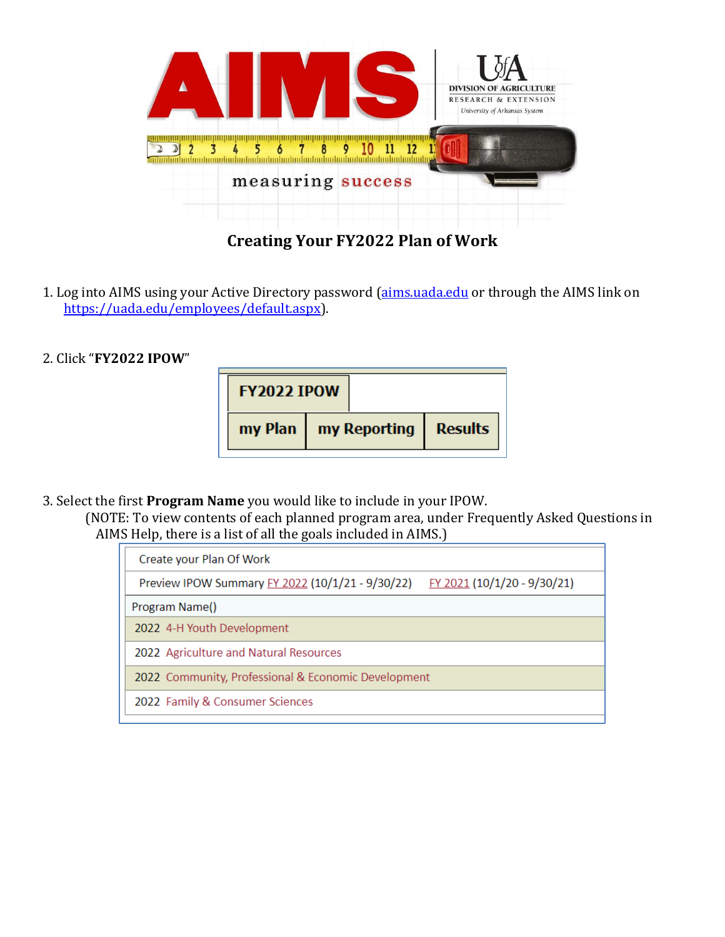

## **Creating Your FY2022 Plan of Work**

- 1. Log into AIMS using your Active Directory password [\(aims.uada.edu](https://aims.uada.edu/) or through the AIMS link on [https://uada.edu/employees/default.aspx\)](https://uada.edu/employees/default.aspx).
- 2. Click "**FY2022 IPOW**"

| <b>FY2022 IPOW</b> |  |                                  |  |
|--------------------|--|----------------------------------|--|
|                    |  | my Plan   my Reporting   Results |  |

3. Select the first **Program Name** you would like to include in your IPOW.

(NOTE: To view contents of each planned program area, under Frequently Asked Questions in AIMS Help, there is a list of all the goals included in AIMS.)

| Create your Plan Of Work                                                                      |  |                                 |
|-----------------------------------------------------------------------------------------------|--|---------------------------------|
| Preview IPOW Summary FY 2022 (10/1/21 - 9/30/22)<br><u>FY 2021</u> (10/1/20 - 9/30/21)        |  |                                 |
| Program Name()                                                                                |  |                                 |
| 2022 4-H Youth Development                                                                    |  |                                 |
| 2022 Agriculture and Natural Resources<br>2022 Community, Professional & Economic Development |  |                                 |
|                                                                                               |  | 2022 Family & Consumer Sciences |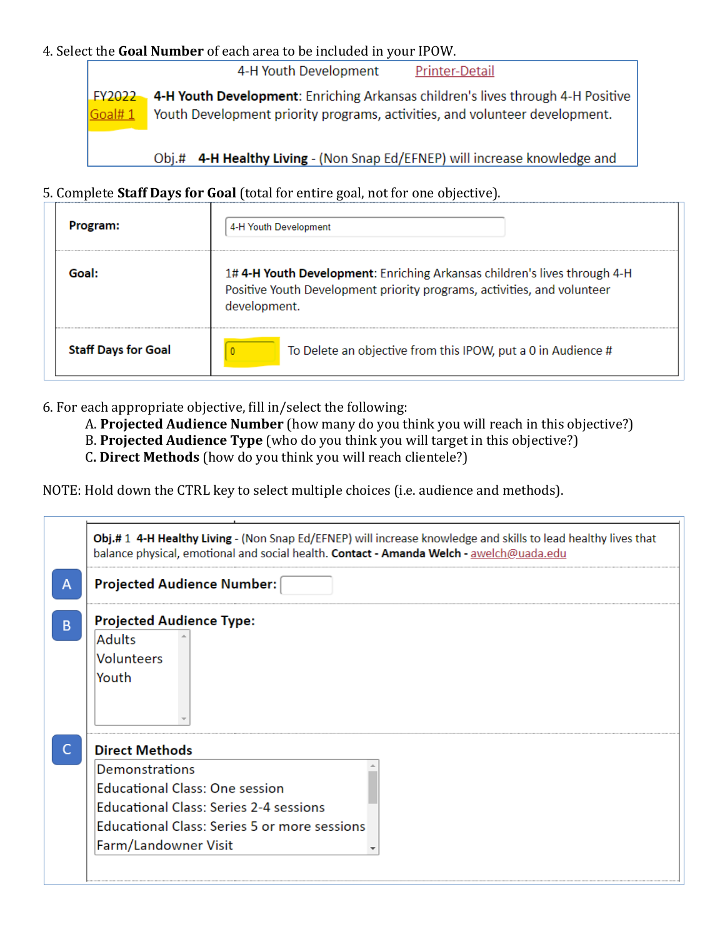## 4. Select the **Goal Number** of each area to be included in your IPOW.

4-H Youth Development Printer-Detail

4-H Youth Development: Enriching Arkansas children's lives through 4-H Positive FY2022 Youth Development priority programs, activities, and volunteer development. Goal#1

Obj.# 4-H Healthy Living - (Non Snap Ed/EFNEP) will increase knowledge and

## 5. Complete **Staff Days for Goal** (total for entire goal, not for one objective).

| Program:                   | 4-H Youth Development                                                                                                                                               |
|----------------------------|---------------------------------------------------------------------------------------------------------------------------------------------------------------------|
| Goal:                      | 1#4-H Youth Development: Enriching Arkansas children's lives through 4-H<br>Positive Youth Development priority programs, activities, and volunteer<br>development. |
| <b>Staff Days for Goal</b> | To Delete an objective from this IPOW, put a 0 in Audience #                                                                                                        |

6. For each appropriate objective, fill in/select the following:

- A. **Projected Audience Number** (how many do you think you will reach in this objective?)
- B. **Projected Audience Type** (who do you think you will target in this objective?)
- C**. Direct Methods** (how do you think you will reach clientele?)

NOTE: Hold down the CTRL key to select multiple choices (i.e. audience and methods).

|                                               | <b>Projected Audience Number:</b> |
|-----------------------------------------------|-----------------------------------|
| <b>Projected Audience Type:</b>               |                                   |
| <b>Adults</b>                                 |                                   |
| <b>Volunteers</b>                             |                                   |
| Youth                                         |                                   |
| <b>Direct Methods</b>                         |                                   |
| Demonstrations                                |                                   |
|                                               |                                   |
| <b>Educational Class: One session</b>         |                                   |
| <b>Educational Class: Series 2-4 sessions</b> |                                   |
| Educational Class: Series 5 or more sessions  |                                   |